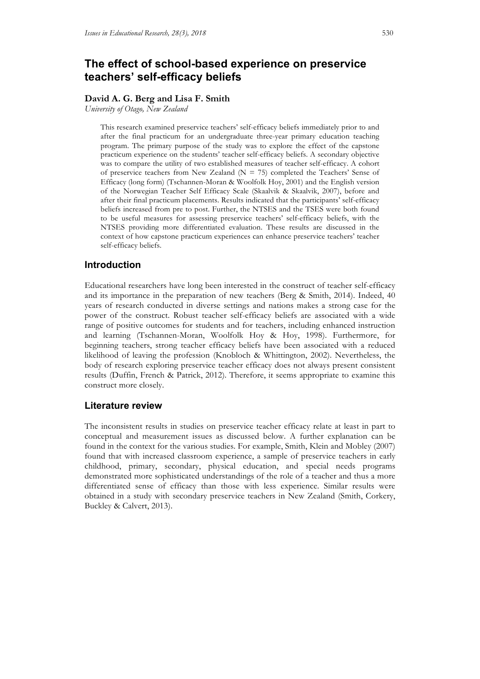# **The effect of school-based experience on preservice teachers' self-efficacy beliefs**

#### **David A. G. Berg and Lisa F. Smith**

*University of Otago, New Zealand*

This research examined preservice teachers' self-efficacy beliefs immediately prior to and after the final practicum for an undergraduate three-year primary education teaching program. The primary purpose of the study was to explore the effect of the capstone practicum experience on the students' teacher self-efficacy beliefs. A secondary objective was to compare the utility of two established measures of teacher self-efficacy. A cohort of preservice teachers from New Zealand ( $N = 75$ ) completed the Teachers' Sense of Efficacy (long form) (Tschannen-Moran & Woolfolk Hoy, 2001) and the English version of the Norwegian Teacher Self Efficacy Scale (Skaalvik & Skaalvik, 2007), before and after their final practicum placements. Results indicated that the participants' self-efficacy beliefs increased from pre to post. Further, the NTSES and the TSES were both found to be useful measures for assessing preservice teachers' self-efficacy beliefs, with the NTSES providing more differentiated evaluation. These results are discussed in the context of how capstone practicum experiences can enhance preservice teachers' teacher self-efficacy beliefs.

## **Introduction**

Educational researchers have long been interested in the construct of teacher self-efficacy and its importance in the preparation of new teachers (Berg & Smith, 2014). Indeed, 40 years of research conducted in diverse settings and nations makes a strong case for the power of the construct. Robust teacher self-efficacy beliefs are associated with a wide range of positive outcomes for students and for teachers, including enhanced instruction and learning (Tschannen-Moran, Woolfolk Hoy & Hoy, 1998). Furthermore, for beginning teachers, strong teacher efficacy beliefs have been associated with a reduced likelihood of leaving the profession (Knobloch & Whittington, 2002). Nevertheless, the body of research exploring preservice teacher efficacy does not always present consistent results (Duffin, French & Patrick, 2012). Therefore, it seems appropriate to examine this construct more closely.

## **Literature review**

The inconsistent results in studies on preservice teacher efficacy relate at least in part to conceptual and measurement issues as discussed below. A further explanation can be found in the context for the various studies. For example, Smith, Klein and Mobley (2007) found that with increased classroom experience, a sample of preservice teachers in early childhood, primary, secondary, physical education, and special needs programs demonstrated more sophisticated understandings of the role of a teacher and thus a more differentiated sense of efficacy than those with less experience. Similar results were obtained in a study with secondary preservice teachers in New Zealand (Smith, Corkery, Buckley & Calvert, 2013).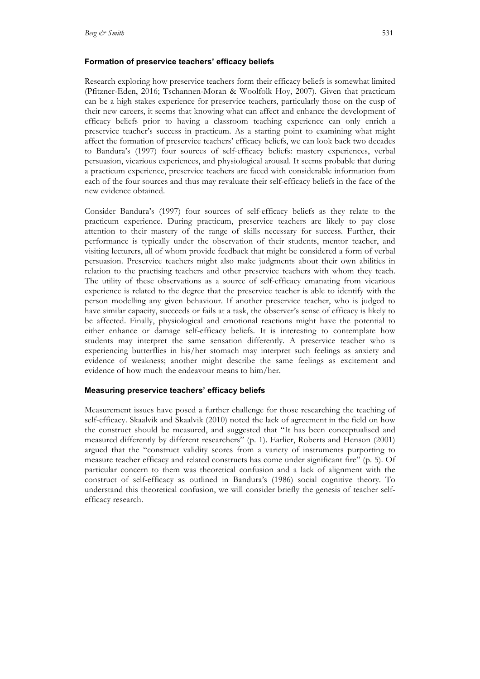#### **Formation of preservice teachers' efficacy beliefs**

Research exploring how preservice teachers form their efficacy beliefs is somewhat limited (Pfitzner-Eden, 2016; Tschannen-Moran & Woolfolk Hoy, 2007). Given that practicum can be a high stakes experience for preservice teachers, particularly those on the cusp of their new careers, it seems that knowing what can affect and enhance the development of efficacy beliefs prior to having a classroom teaching experience can only enrich a preservice teacher's success in practicum. As a starting point to examining what might affect the formation of preservice teachers' efficacy beliefs, we can look back two decades to Bandura's (1997) four sources of self-efficacy beliefs: mastery experiences, verbal persuasion, vicarious experiences, and physiological arousal. It seems probable that during a practicum experience, preservice teachers are faced with considerable information from each of the four sources and thus may revaluate their self-efficacy beliefs in the face of the new evidence obtained.

Consider Bandura's (1997) four sources of self-efficacy beliefs as they relate to the practicum experience. During practicum, preservice teachers are likely to pay close attention to their mastery of the range of skills necessary for success. Further, their performance is typically under the observation of their students, mentor teacher, and visiting lecturers, all of whom provide feedback that might be considered a form of verbal persuasion. Preservice teachers might also make judgments about their own abilities in relation to the practising teachers and other preservice teachers with whom they teach. The utility of these observations as a source of self-efficacy emanating from vicarious experience is related to the degree that the preservice teacher is able to identify with the person modelling any given behaviour. If another preservice teacher, who is judged to have similar capacity, succeeds or fails at a task, the observer's sense of efficacy is likely to be affected. Finally, physiological and emotional reactions might have the potential to either enhance or damage self-efficacy beliefs. It is interesting to contemplate how students may interpret the same sensation differently. A preservice teacher who is experiencing butterflies in his/her stomach may interpret such feelings as anxiety and evidence of weakness; another might describe the same feelings as excitement and evidence of how much the endeavour means to him/her.

#### **Measuring preservice teachers' efficacy beliefs**

Measurement issues have posed a further challenge for those researching the teaching of self-efficacy. Skaalvik and Skaalvik (2010) noted the lack of agreement in the field on how the construct should be measured, and suggested that "It has been conceptualised and measured differently by different researchers" (p. 1). Earlier, Roberts and Henson (2001) argued that the "construct validity scores from a variety of instruments purporting to measure teacher efficacy and related constructs has come under significant fire" (p. 5). Of particular concern to them was theoretical confusion and a lack of alignment with the construct of self-efficacy as outlined in Bandura's (1986) social cognitive theory. To understand this theoretical confusion, we will consider briefly the genesis of teacher selfefficacy research.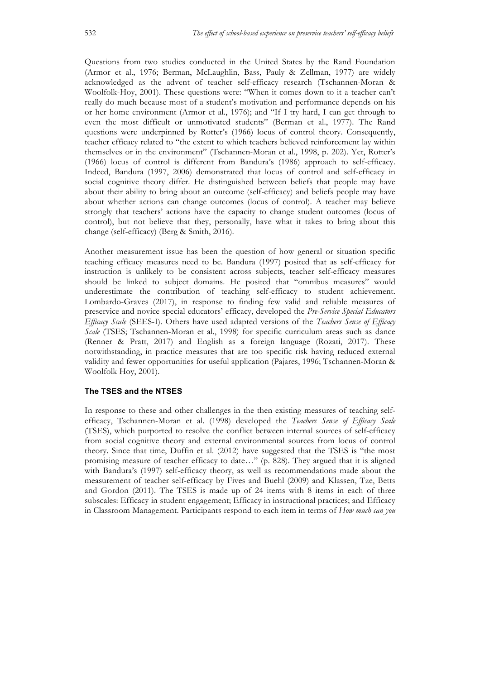Questions from two studies conducted in the United States by the Rand Foundation (Armor et al., 1976; Berman, McLaughlin, Bass, Pauly & Zellman, 1977) are widely acknowledged as the advent of teacher self-efficacy research (Tschannen-Moran & Woolfolk-Hoy, 2001). These questions were: "When it comes down to it a teacher can't really do much because most of a student's motivation and performance depends on his or her home environment (Armor et al., 1976); and "If I try hard, I can get through to even the most difficult or unmotivated students" (Berman et al., 1977). The Rand questions were underpinned by Rotter's (1966) locus of control theory. Consequently, teacher efficacy related to "the extent to which teachers believed reinforcement lay within themselves or in the environment" (Tschannen-Moran et al., 1998, p. 202). Yet, Rotter's (1966) locus of control is different from Bandura's (1986) approach to self-efficacy. Indeed, Bandura (1997, 2006) demonstrated that locus of control and self-efficacy in social cognitive theory differ. He distinguished between beliefs that people may have about their ability to bring about an outcome (self-efficacy) and beliefs people may have about whether actions can change outcomes (locus of control). A teacher may believe strongly that teachers' actions have the capacity to change student outcomes (locus of control), but not believe that they, personally, have what it takes to bring about this change (self-efficacy) (Berg & Smith, 2016).

Another measurement issue has been the question of how general or situation specific teaching efficacy measures need to be. Bandura (1997) posited that as self-efficacy for instruction is unlikely to be consistent across subjects, teacher self-efficacy measures should be linked to subject domains. He posited that "omnibus measures" would underestimate the contribution of teaching self-efficacy to student achievement. Lombardo-Graves (2017), in response to finding few valid and reliable measures of preservice and novice special educators' efficacy, developed the *Pre-Service Special Educators Efficacy Scale* (SEES-I). Others have used adapted versions of the *Teachers Sense of Efficacy Scale* (TSES; Tschannen-Moran et al., 1998) for specific curriculum areas such as dance (Renner & Pratt, 2017) and English as a foreign language (Rozati, 2017). These notwithstanding, in practice measures that are too specific risk having reduced external validity and fewer opportunities for useful application (Pajares, 1996; Tschannen-Moran & Woolfolk Hoy, 2001).

#### **The TSES and the NTSES**

In response to these and other challenges in the then existing measures of teaching selfefficacy, Tschannen-Moran et al. (1998) developed the *Teachers Sense of Efficacy Scale* (TSES), which purported to resolve the conflict between internal sources of self-efficacy from social cognitive theory and external environmental sources from locus of control theory. Since that time, Duffin et al. (2012) have suggested that the TSES is "the most promising measure of teacher efficacy to date…" (p. 828). They argued that it is aligned with Bandura's (1997) self-efficacy theory, as well as recommendations made about the measurement of teacher self-efficacy by Fives and Buehl (2009) and Klassen, Tze, Betts and Gordon (2011). The TSES is made up of 24 items with 8 items in each of three subscales: Efficacy in student engagement; Efficacy in instructional practices; and Efficacy in Classroom Management. Participants respond to each item in terms of *How much can you*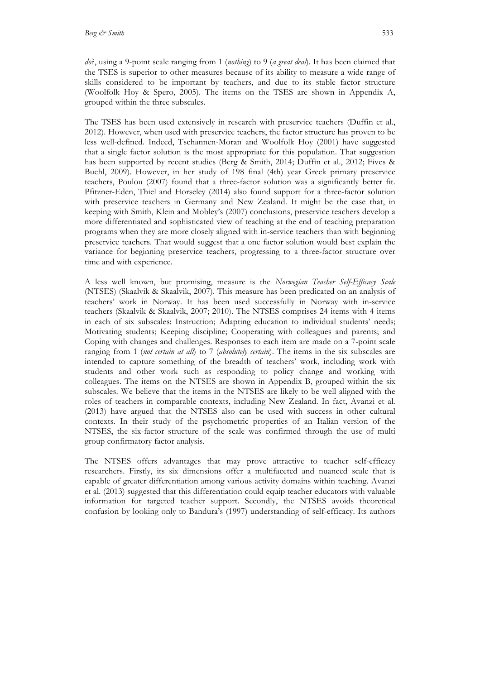*do*?, using a 9-point scale ranging from 1 (*nothing*) to 9 (*a great deal*). It has been claimed that the TSES is superior to other measures because of its ability to measure a wide range of skills considered to be important by teachers, and due to its stable factor structure (Woolfolk Hoy & Spero, 2005). The items on the TSES are shown in Appendix A, grouped within the three subscales.

The TSES has been used extensively in research with preservice teachers (Duffin et al., 2012). However, when used with preservice teachers, the factor structure has proven to be less well-defined. Indeed, Tschannen-Moran and Woolfolk Hoy (2001) have suggested that a single factor solution is the most appropriate for this population. That suggestion has been supported by recent studies (Berg & Smith, 2014; Duffin et al., 2012; Fives & Buehl, 2009). However, in her study of 198 final (4th) year Greek primary preservice teachers, Poulou (2007) found that a three-factor solution was a significantly better fit. Pfitzner-Eden, Thiel and Horseley (2014) also found support for a three-factor solution with preservice teachers in Germany and New Zealand. It might be the case that, in keeping with Smith, Klein and Mobley's (2007) conclusions, preservice teachers develop a more differentiated and sophisticated view of teaching at the end of teaching preparation programs when they are more closely aligned with in-service teachers than with beginning preservice teachers. That would suggest that a one factor solution would best explain the variance for beginning preservice teachers, progressing to a three-factor structure over time and with experience.

A less well known, but promising, measure is the *Norwegian Teacher Self-Efficacy Scale* (NTSES) (Skaalvik & Skaalvik, 2007). This measure has been predicated on an analysis of teachers' work in Norway. It has been used successfully in Norway with in-service teachers (Skaalvik & Skaalvik, 2007; 2010). The NTSES comprises 24 items with 4 items in each of six subscales: Instruction; Adapting education to individual students' needs; Motivating students; Keeping discipline; Cooperating with colleagues and parents; and Coping with changes and challenges. Responses to each item are made on a 7-point scale ranging from 1 (*not certain at all*) to 7 (*absolutely certain*). The items in the six subscales are intended to capture something of the breadth of teachers' work, including work with students and other work such as responding to policy change and working with colleagues. The items on the NTSES are shown in Appendix B, grouped within the six subscales. We believe that the items in the NTSES are likely to be well aligned with the roles of teachers in comparable contexts, including New Zealand. In fact, Avanzi et al. (2013) have argued that the NTSES also can be used with success in other cultural contexts. In their study of the psychometric properties of an Italian version of the NTSES, the six-factor structure of the scale was confirmed through the use of multi group confirmatory factor analysis.

The NTSES offers advantages that may prove attractive to teacher self-efficacy researchers. Firstly, its six dimensions offer a multifaceted and nuanced scale that is capable of greater differentiation among various activity domains within teaching. Avanzi et al. (2013) suggested that this differentiation could equip teacher educators with valuable information for targeted teacher support. Secondly, the NTSES avoids theoretical confusion by looking only to Bandura's (1997) understanding of self-efficacy. Its authors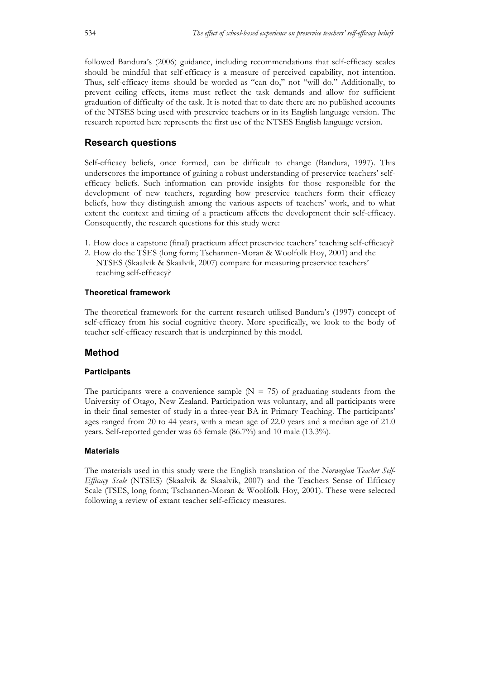followed Bandura's (2006) guidance, including recommendations that self-efficacy scales should be mindful that self-efficacy is a measure of perceived capability, not intention. Thus, self-efficacy items should be worded as "can do," not "will do." Additionally, to prevent ceiling effects, items must reflect the task demands and allow for sufficient graduation of difficulty of the task. It is noted that to date there are no published accounts of the NTSES being used with preservice teachers or in its English language version. The research reported here represents the first use of the NTSES English language version.

# **Research questions**

Self-efficacy beliefs, once formed, can be difficult to change (Bandura, 1997). This underscores the importance of gaining a robust understanding of preservice teachers' selfefficacy beliefs. Such information can provide insights for those responsible for the development of new teachers, regarding how preservice teachers form their efficacy beliefs, how they distinguish among the various aspects of teachers' work, and to what extent the context and timing of a practicum affects the development their self-efficacy. Consequently, the research questions for this study were:

- 1. How does a capstone (final) practicum affect preservice teachers' teaching self-efficacy?
- 2. How do the TSES (long form; Tschannen-Moran & Woolfolk Hoy, 2001) and the NTSES (Skaalvik & Skaalvik, 2007) compare for measuring preservice teachers' teaching self-efficacy?

## **Theoretical framework**

The theoretical framework for the current research utilised Bandura's (1997) concept of self-efficacy from his social cognitive theory. More specifically, we look to the body of teacher self-efficacy research that is underpinned by this model.

# **Method**

## **Participants**

The participants were a convenience sample  $(N = 75)$  of graduating students from the University of Otago, New Zealand. Participation was voluntary, and all participants were in their final semester of study in a three-year BA in Primary Teaching. The participants' ages ranged from 20 to 44 years, with a mean age of 22.0 years and a median age of 21.0 years. Self-reported gender was 65 female (86.7%) and 10 male (13.3%).

## **Materials**

The materials used in this study were the English translation of the *Norwegian Teacher Self-Efficacy Scale* (NTSES) (Skaalvik & Skaalvik, 2007) and the Teachers Sense of Efficacy Scale (TSES, long form; Tschannen-Moran & Woolfolk Hoy, 2001). These were selected following a review of extant teacher self-efficacy measures.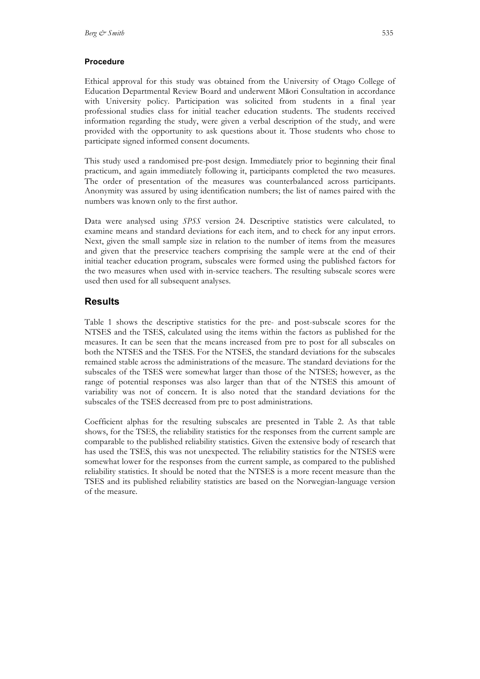#### **Procedure**

Ethical approval for this study was obtained from the University of Otago College of Education Departmental Review Board and underwent Māori Consultation in accordance with University policy. Participation was solicited from students in a final year professional studies class for initial teacher education students. The students received information regarding the study, were given a verbal description of the study, and were provided with the opportunity to ask questions about it. Those students who chose to participate signed informed consent documents.

This study used a randomised pre-post design. Immediately prior to beginning their final practicum, and again immediately following it, participants completed the two measures. The order of presentation of the measures was counterbalanced across participants. Anonymity was assured by using identification numbers; the list of names paired with the numbers was known only to the first author.

Data were analysed using *SPSS* version 24. Descriptive statistics were calculated, to examine means and standard deviations for each item, and to check for any input errors. Next, given the small sample size in relation to the number of items from the measures and given that the preservice teachers comprising the sample were at the end of their initial teacher education program, subscales were formed using the published factors for the two measures when used with in-service teachers. The resulting subscale scores were used then used for all subsequent analyses.

## **Results**

Table 1 shows the descriptive statistics for the pre- and post-subscale scores for the NTSES and the TSES, calculated using the items within the factors as published for the measures. It can be seen that the means increased from pre to post for all subscales on both the NTSES and the TSES. For the NTSES, the standard deviations for the subscales remained stable across the administrations of the measure. The standard deviations for the subscales of the TSES were somewhat larger than those of the NTSES; however, as the range of potential responses was also larger than that of the NTSES this amount of variability was not of concern. It is also noted that the standard deviations for the subscales of the TSES decreased from pre to post administrations.

Coefficient alphas for the resulting subscales are presented in Table 2. As that table shows, for the TSES, the reliability statistics for the responses from the current sample are comparable to the published reliability statistics. Given the extensive body of research that has used the TSES, this was not unexpected. The reliability statistics for the NTSES were somewhat lower for the responses from the current sample, as compared to the published reliability statistics. It should be noted that the NTSES is a more recent measure than the TSES and its published reliability statistics are based on the Norwegian-language version of the measure.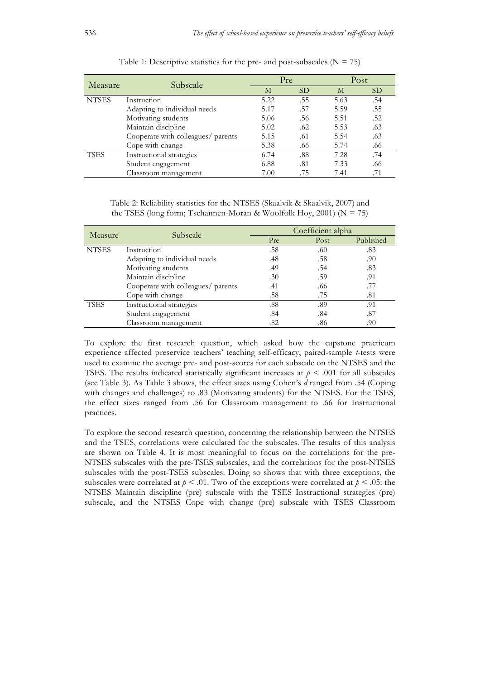| Measure      | Subscale                           |      | Pre       |      | Post      |  |
|--------------|------------------------------------|------|-----------|------|-----------|--|
|              |                                    | M    | <b>SD</b> | М    | <b>SD</b> |  |
| <b>NTSES</b> | Instruction                        | 5.22 | .55       | 5.63 | .54       |  |
|              | Adapting to individual needs       | 5.17 | .57       | 5.59 | .55       |  |
|              | Motivating students                |      | .56       | 5.51 | .52       |  |
|              | Maintain discipline                | 5.02 | .62       | 5.53 | .63       |  |
|              | Cooperate with colleagues/ parents |      | .61       | 5.54 | .63       |  |
|              | Cope with change                   | 5.38 | .66       | 5.74 | .66       |  |
| <b>TSES</b>  | Instructional strategies           | 6.74 | .88       | 7.28 | .74       |  |
|              | Student engagement                 | 6.88 | .81       | 7.33 | .66       |  |
|              | Classroom management               | 7.00 | .75       | 7.41 | .71       |  |

Table 1: Descriptive statistics for the pre- and post-subscales  $(N = 75)$ 

Table 2: Reliability statistics for the NTSES (Skaalvik & Skaalvik, 2007) and the TSES (long form; Tschannen-Moran & Woolfolk Hoy, 2001) ( $N = 75$ )

| Measure      | Subscale                           | Coefficient alpha |      |           |  |
|--------------|------------------------------------|-------------------|------|-----------|--|
|              |                                    | Pre               | Post | Published |  |
| <b>NTSES</b> | Instruction                        | .58               | .60  | .83       |  |
|              | Adapting to individual needs       | .48               | .58  | .90       |  |
|              | Motivating students                | .49               | .54  | .83       |  |
|              | Maintain discipline                | .30               | .59  | .91       |  |
|              | Cooperate with colleagues/ parents | .41               | .66  | .77       |  |
|              | Cope with change                   | .58               | .75  | .81       |  |
| <b>TSES</b>  | Instructional strategies           | .88               | .89  | .91       |  |
|              | Student engagement                 | .84               | .84  | .87       |  |
|              | Classroom management               | .82               | .86  | .90       |  |

To explore the first research question, which asked how the capstone practicum experience affected preservice teachers' teaching self-efficacy, paired-sample *t*-tests were used to examine the average pre- and post-scores for each subscale on the NTSES and the TSES. The results indicated statistically significant increases at  $p < .001$  for all subscales (see Table 3). As Table 3 shows, the effect sizes using Cohen's *d* ranged from .54 (Coping with changes and challenges) to .83 (Motivating students) for the NTSES. For the TSES, the effect sizes ranged from .56 for Classroom management to .66 for Instructional practices.

To explore the second research question, concerning the relationship between the NTSES and the TSES, correlations were calculated for the subscales. The results of this analysis are shown on Table 4. It is most meaningful to focus on the correlations for the pre-NTSES subscales with the pre-TSES subscales, and the correlations for the post-NTSES subscales with the post-TSES subscales. Doing so shows that with three exceptions, the subscales were correlated at  $p < .01$ . Two of the exceptions were correlated at  $p < .05$ : the NTSES Maintain discipline (pre) subscale with the TSES Instructional strategies (pre) subscale, and the NTSES Cope with change (pre) subscale with TSES Classroom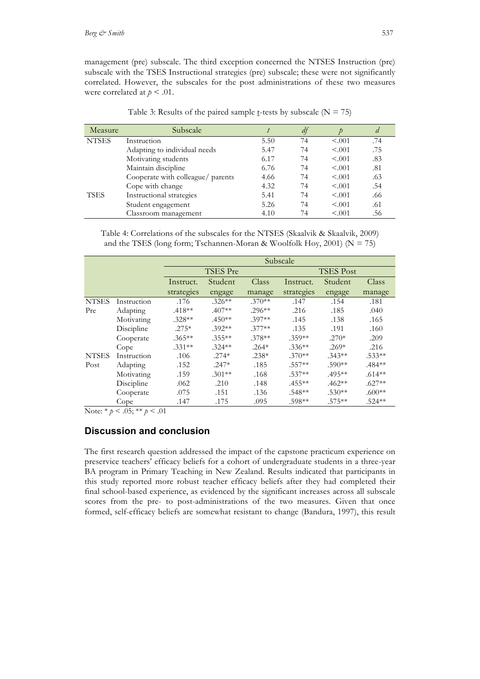management (pre) subscale. The third exception concerned the NTSES Instruction (pre) subscale with the TSES Instructional strategies (pre) subscale; these were not significantly correlated. However, the subscales for the post administrations of these two measures were correlated at  $p < .01$ .

| Measure      | Subscale                          |      | $\mu$ |         | a   |
|--------------|-----------------------------------|------|-------|---------|-----|
| <b>NTSES</b> | Instruction                       | 5.50 | 74    | < 0.001 | .74 |
|              | Adapting to individual needs      | 5.47 | 74    | < 0.001 | .75 |
|              | Motivating students               | 6.17 | 74    | < 0.01  | .83 |
|              | Maintain discipline               | 6.76 | 74    | < 0.001 | .81 |
|              | Cooperate with colleague/ parents | 4.66 | 74    | < 0.01  | .63 |
|              | Cope with change                  | 4.32 | 74    | < 0.01  | .54 |
| TSES         | Instructional strategies          | 5.41 | 74    | < 0.01  | .66 |
|              | Student engagement                | 5.26 | 74    | < 0.01  | .61 |
|              | Classroom management              | 4.10 | 74    | < 0.001 | .56 |

Table 3: Results of the paired sample t-tests by subscale  $(N = 75)$ 

Table 4: Correlations of the subscales for the NTSES (Skaalvik & Skaalvik, 2009) and the TSES (long form; Tschannen-Moran & Woolfolk Hoy, 2001) ( $N = 75$ )

|              |             | Subscale   |           |          |                  |           |          |  |
|--------------|-------------|------------|-----------|----------|------------------|-----------|----------|--|
|              |             | TSES Pre   |           |          | <b>TSES</b> Post |           |          |  |
|              |             | Instruct.  | Student   | Class    | Instruct.        | Student   | Class    |  |
|              |             | strategies | engage    | manage   | strategies       | engage    | manage   |  |
| <b>NTSES</b> | Instruction | .176       | $.326**$  | $.370**$ | .147             | .154      | .181     |  |
| Pre          | Adapting    | $.418**$   | $.407**$  | $.296**$ | .216             | .185      | .040     |  |
|              | Motivating  | $.328**$   | $.450**$  | $.397**$ | .145             | .138      | .165     |  |
|              | Discipline  | $.275*$    | $.392**$  | $.377**$ | .135             | .191      | .160     |  |
|              | Cooperate   | $.365***$  | $.355***$ | $.378**$ | $.359**$         | $.270*$   | .209     |  |
|              | Cope        | $.331**$   | $.324**$  | $.264*$  | $.336**$         | $.269*$   | .216     |  |
| <b>NTSES</b> | Instruction | .106       | $.274*$   | $.238*$  | $.370**$         | $.343**$  | $.533**$ |  |
| Post         | Adapting    | .152       | $.247*$   | .185     | $.557**$         | $.590**$  | .484**   |  |
|              | Motivating  | .159       | $.301**$  | .168     | $.537**$         | $.495***$ | $.614**$ |  |
|              | Discipline  | .062       | .210      | .148     | $.455***$        | $.462**$  | $.627**$ |  |
|              | Cooperate   | .075       | .151      | .136     | $.548**$         | $.530**$  | $.600**$ |  |
|              | Cope        | .147       | .175      | .095     | .598**           | $.575***$ | $.524**$ |  |

Note:  $* p < .05$ ;  $* p < .01$ 

## **Discussion and conclusion**

The first research question addressed the impact of the capstone practicum experience on preservice teachers' efficacy beliefs for a cohort of undergraduate students in a three-year BA program in Primary Teaching in New Zealand. Results indicated that participants in this study reported more robust teacher efficacy beliefs after they had completed their final school-based experience, as evidenced by the significant increases across all subscale scores from the pre- to post-administrations of the two measures. Given that once formed, self-efficacy beliefs are somewhat resistant to change (Bandura, 1997), this result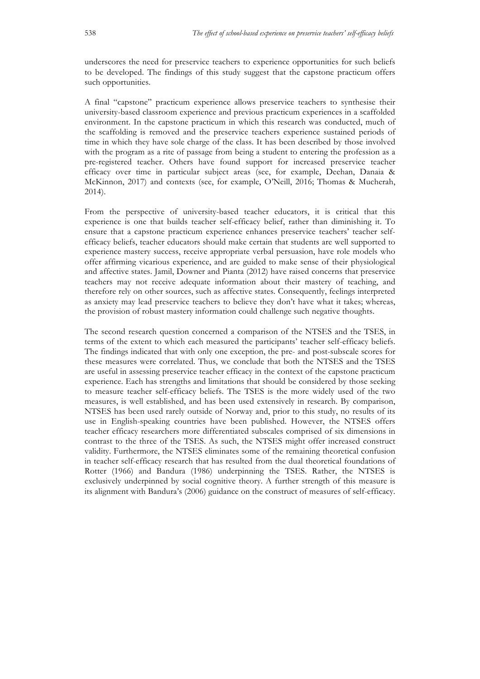underscores the need for preservice teachers to experience opportunities for such beliefs to be developed. The findings of this study suggest that the capstone practicum offers such opportunities.

A final "capstone" practicum experience allows preservice teachers to synthesise their university-based classroom experience and previous practicum experiences in a scaffolded environment. In the capstone practicum in which this research was conducted, much of the scaffolding is removed and the preservice teachers experience sustained periods of time in which they have sole charge of the class. It has been described by those involved with the program as a rite of passage from being a student to entering the profession as a pre-registered teacher. Others have found support for increased preservice teacher efficacy over time in particular subject areas (see, for example, Deehan, Danaia & McKinnon, 2017) and contexts (see, for example, O'Neill, 2016; Thomas & Mucherah, 2014).

From the perspective of university-based teacher educators, it is critical that this experience is one that builds teacher self-efficacy belief, rather than diminishing it. To ensure that a capstone practicum experience enhances preservice teachers' teacher selfefficacy beliefs, teacher educators should make certain that students are well supported to experience mastery success, receive appropriate verbal persuasion, have role models who offer affirming vicarious experience, and are guided to make sense of their physiological and affective states. Jamil, Downer and Pianta (2012) have raised concerns that preservice teachers may not receive adequate information about their mastery of teaching, and therefore rely on other sources, such as affective states. Consequently, feelings interpreted as anxiety may lead preservice teachers to believe they don't have what it takes; whereas, the provision of robust mastery information could challenge such negative thoughts.

The second research question concerned a comparison of the NTSES and the TSES, in terms of the extent to which each measured the participants' teacher self-efficacy beliefs. The findings indicated that with only one exception, the pre- and post-subscale scores for these measures were correlated. Thus, we conclude that both the NTSES and the TSES are useful in assessing preservice teacher efficacy in the context of the capstone practicum experience. Each has strengths and limitations that should be considered by those seeking to measure teacher self-efficacy beliefs. The TSES is the more widely used of the two measures, is well established, and has been used extensively in research. By comparison, NTSES has been used rarely outside of Norway and, prior to this study, no results of its use in English-speaking countries have been published. However, the NTSES offers teacher efficacy researchers more differentiated subscales comprised of six dimensions in contrast to the three of the TSES. As such, the NTSES might offer increased construct validity. Furthermore, the NTSES eliminates some of the remaining theoretical confusion in teacher self-efficacy research that has resulted from the dual theoretical foundations of Rotter (1966) and Bandura (1986) underpinning the TSES. Rather, the NTSES is exclusively underpinned by social cognitive theory. A further strength of this measure is its alignment with Bandura's (2006) guidance on the construct of measures of self-efficacy.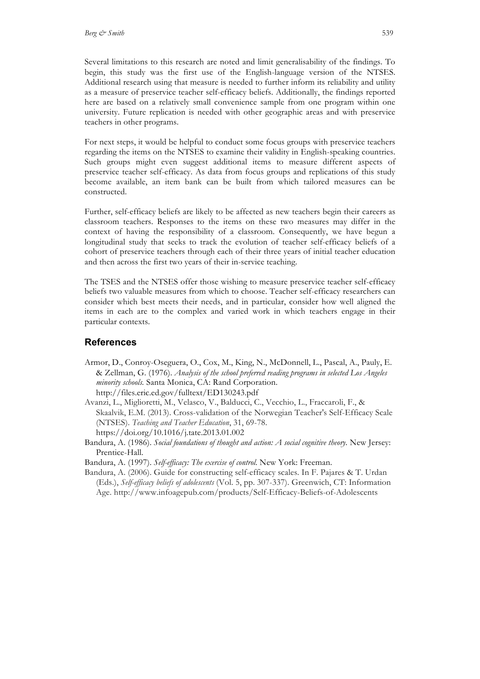Several limitations to this research are noted and limit generalisability of the findings. To begin, this study was the first use of the English-language version of the NTSES. Additional research using that measure is needed to further inform its reliability and utility as a measure of preservice teacher self-efficacy beliefs. Additionally, the findings reported here are based on a relatively small convenience sample from one program within one university. Future replication is needed with other geographic areas and with preservice teachers in other programs.

For next steps, it would be helpful to conduct some focus groups with preservice teachers regarding the items on the NTSES to examine their validity in English-speaking countries. Such groups might even suggest additional items to measure different aspects of preservice teacher self-efficacy. As data from focus groups and replications of this study become available, an item bank can be built from which tailored measures can be constructed.

Further, self-efficacy beliefs are likely to be affected as new teachers begin their careers as classroom teachers. Responses to the items on these two measures may differ in the context of having the responsibility of a classroom. Consequently, we have begun a longitudinal study that seeks to track the evolution of teacher self-efficacy beliefs of a cohort of preservice teachers through each of their three years of initial teacher education and then across the first two years of their in-service teaching.

The TSES and the NTSES offer those wishing to measure preservice teacher self-efficacy beliefs two valuable measures from which to choose. Teacher self-efficacy researchers can consider which best meets their needs, and in particular, consider how well aligned the items in each are to the complex and varied work in which teachers engage in their particular contexts.

## **References**

- Armor, D., Conroy-Oseguera, O., Cox, M., King, N., McDonnell, L., Pascal, A., Pauly, E. & Zellman, G. (1976). *Analysis of the school preferred reading programs in selected Los Angeles minority schools.* Santa Monica, CA: Rand Corporation. http://files.eric.ed.gov/fulltext/ED130243.pdf
- Avanzi, L., Miglioretti, M., Velasco, V., Balducci, C., Vecchio, L., Fraccaroli, F., & Skaalvik, E.M. (2013). Cross-validation of the Norwegian Teacher's Self-Efficacy Scale (NTSES). *Teaching and Teacher Education*, 31, 69-78. https://doi.org/10.1016/j.tate.2013.01.002
- Bandura, A. (1986). *Social foundations of thought and action: A social cognitive theory.* New Jersey: Prentice-Hall.
- Bandura, A. (1997). *Self-efficacy: The exercise of control.* New York: Freeman.
- Bandura, A. (2006). Guide for constructing self-efficacy scales. In F. Pajares & T. Urdan (Eds.), *Self-efficacy beliefs of adolescents* (Vol. 5, pp. 307-337). Greenwich, CT: Information Age. http://www.infoagepub.com/products/Self-Efficacy-Beliefs-of-Adolescents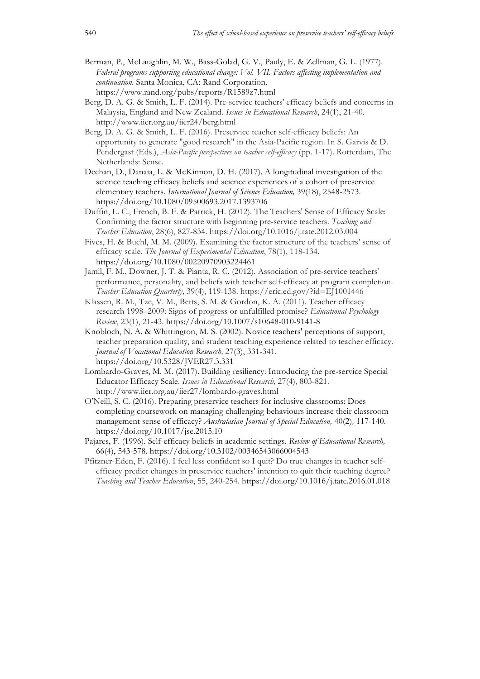- Berman, P., McLaughlin, M. W., Bass-Golad, G. V., Pauly, E. & Zellman, G. L. (1977). *Federal programs supporting educational change: Vol. VII. Factors affecting implementation and continuation.* Santa Monica, CA: Rand Corporation. https://www.rand.org/pubs/reports/R1589z7.html
- Berg, D. A. G. & Smith, L. F. (2014). Pre-service teachers' efficacy beliefs and concerns in Malaysia, England and New Zealand. *Issues in Educational Research*, 24(1), 21-40. http://www.iier.org.au/iier24/berg.html
- Berg, D. A. G. & Smith, L. F. (2016). Preservice teacher self-efficacy beliefs: An opportunity to generate "good research" in the Asia-Pacific region. In S. Garvis & D. Pendergast (Eds.), *Asia-Pacific perspectives on teacher self-efficacy* (pp. 1-17). Rotterdam, The Netherlands: Sense.
- Deehan, D., Danaia, L. & McKinnon, D. H. (2017). A longitudinal investigation of the science teaching efficacy beliefs and science experiences of a cohort of preservice elementary teachers. *International Journal of Science Education,* 39(18), 2548-2573. https://doi.org/10.1080/09500693.2017.1393706
- Duffin, L. C., French, B. F. & Patrick, H. (2012). The Teachers' Sense of Efficacy Scale: Confirming the factor structure with beginning pre-service teachers. *Teaching and Teacher Education*, 28(6), 827-834. https://doi.org/10.1016/j.tate.2012.03.004
- Fives, H. & Buehl, M. M. (2009). Examining the factor structure of the teachers' sense of efficacy scale. *The Journal of Experimental Education*, 78(1), 118-134. https://doi.org/10.1080/00220970903224461
- Jamil, F. M., Downer, J. T. & Pianta, R. C. (2012). Association of pre-service teachers' performance, personality, and beliefs with teacher self-efficacy at program completion. *Teacher Education Quarterly*, 39(4), 119-138. https://eric.ed.gov/?id=EJ1001446
- Klassen, R. M., Tze, V. M., Betts, S. M. & Gordon, K. A. (2011). Teacher efficacy research 1998–2009: Signs of progress or unfulfilled promise? *Educational Psychology Review*, 23(1), 21-43. https://doi.org/10.1007/s10648-010-9141-8
- Knobloch, N. A. & Whittington, M. S. (2002). Novice teachers' perceptions of support, teacher preparation quality, and student teaching experience related to teacher efficacy. *Journal of Vocational Education Research,* 27(3), 331-341. https://doi.org/10.5328/JVER27.3.331
- Lombardo-Graves, M. M. (2017). Building resiliency: Introducing the pre-service Special Educator Efficacy Scale. *Issues in Educational Research*, 27(4), 803-821. http://www.iier.org.au/iier27/lombardo-graves.html
- O'Neill, S. C. (2016). Preparing preservice teachers for inclusive classrooms: Does completing coursework on managing challenging behaviours increase their classroom management sense of efficacy? *Australasian Journal of Special Education,* 40(2)*,* 117-140. https://doi.org/10.1017/jse.2015.10
- Pajares, F. (1996). Self-efficacy beliefs in academic settings. *Review of Educational Research,*  66(4), 543-578. https://doi.org/10.3102/00346543066004543
- Pfitzner-Eden, F. (2016). I feel less confident so I quit? Do true changes in teacher selfefficacy predict changes in preservice teachers' intention to quit their teaching degree? *Teaching and Teacher Education*, 55, 240-254. https://doi.org/10.1016/j.tate.2016.01.018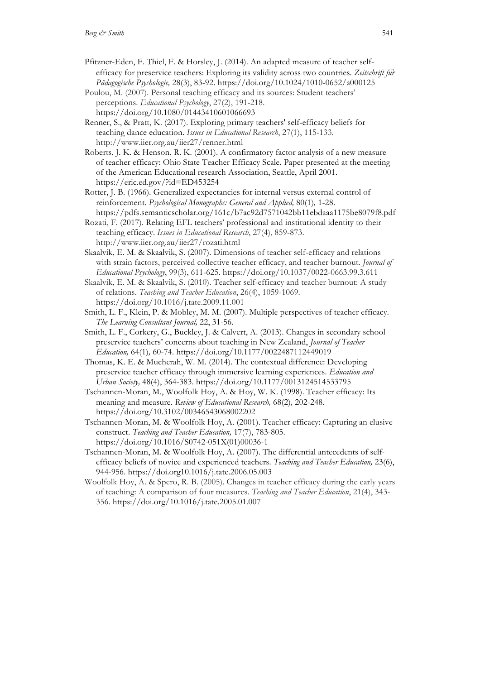- Pfitzner-Eden, F. Thiel, F. & Horsley, J. (2014). An adapted measure of teacher selfefficacy for preservice teachers: Exploring its validity across two countries. *Zeitschrift für Pädagogische Psychologie,* 28(3), 83-92. https://doi.org/10.1024/1010-0652/a000125
- Poulou, M. (2007). Personal teaching efficacy and its sources: Student teachers' perceptions. *Educational Psychology*, 27(2), 191-218. https://doi.org/10.1080/01443410601066693
- Renner, S., & Pratt, K. (2017). Exploring primary teachers' self-efficacy beliefs for teaching dance education. *Issues in Educational Research*, 27(1), 115-133. http://www.iier.org.au/iier27/renner.html
- Roberts, J. K. & Henson, R. K. (2001). A confirmatory factor analysis of a new measure of teacher efficacy: Ohio State Teacher Efficacy Scale. Paper presented at the meeting of the American Educational research Association, Seattle, April 2001. https://eric.ed.gov/?id=ED453254
- Rotter, J. B. (1966). Generalized expectancies for internal versus external control of reinforcement. *Psychological Monographs: General and Applied,* 80(1)*,* 1-28. https://pdfs.semanticscholar.org/161c/b7ac92d7571042bb11ebdaaa1175be8079f8.pdf
- Rozati, F. (2017). Relating EFL teachers' professional and institutional identity to their teaching efficacy. *Issues in Educational Research*, 27(4), 859-873. http://www.iier.org.au/iier27/rozati.html
- Skaalvik, E. M. & Skaalvik, S. (2007). Dimensions of teacher self-efficacy and relations with strain factors, perceived collective teacher efficacy, and teacher burnout. *Journal of Educational Psychology*, 99(3), 611-625. https://doi.org/10.1037/0022-0663.99.3.611
- Skaalvik, E. M. & Skaalvik, S. (2010). Teacher self-efficacy and teacher burnout: A study of relations. *Teaching and Teacher Education*, 26(4), 1059-1069. https://doi.org/10.1016/j.tate.2009.11.001
- Smith, L. F., Klein, P. & Mobley, M. M. (2007). Multiple perspectives of teacher efficacy*. The Learning Consultant Journal,* 22, 31-56.
- Smith, L. F., Corkery, G., Buckley, J. & Calvert, A. (2013). Changes in secondary school preservice teachers' concerns about teaching in New Zealand, *Journal of Teacher Education,* 64(1)*,* 60-74. https://doi.org/10.1177/0022487112449019
- Thomas, K. E. & Mucherah, W. M. (2014). The contextual difference: Developing preservice teacher efficacy through immersive learning experiences. *Education and Urban Society,* 48(4), 364-383. https://doi.org/10.1177/0013124514533795
- Tschannen-Moran, M., Woolfolk Hoy, A. & Hoy, W. K. (1998). Teacher efficacy: Its meaning and measure. *Review of Educational Research,* 68(2)*,* 202-248. https://doi.org/10.3102/00346543068002202
- Tschannen-Moran, M. & Woolfolk Hoy, A. (2001). Teacher efficacy: Capturing an elusive construct. *Teaching and Teacher Education,* 17(7), 783-805. https://doi.org/10.1016/S0742-051X(01)00036-1
- Tschannen-Moran, M. & Woolfolk Hoy, A. (2007). The differential antecedents of selfefficacy beliefs of novice and experienced teachers. *Teaching and Teacher Education,* 23(6), 944-956. https://doi.org10.1016/j.tate.2006.05.003
- Woolfolk Hoy, A. & Spero, R. B. (2005). Changes in teacher efficacy during the early years of teaching: A comparison of four measures. *Teaching and Teacher Education*, 21(4), 343- 356. https://doi.org/10.1016/j.tate.2005.01.007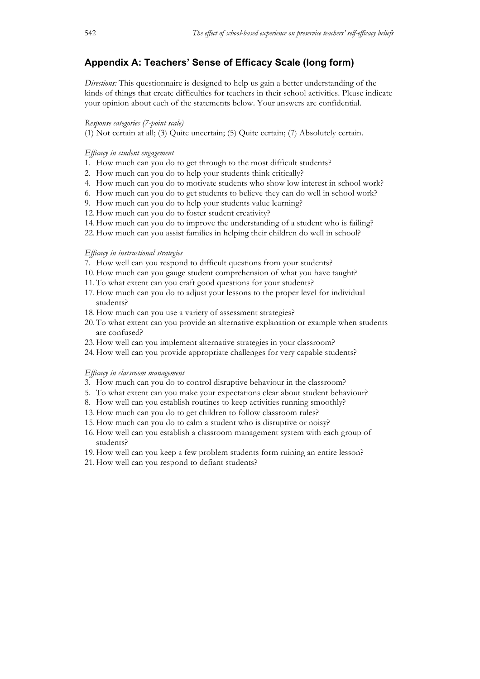# **Appendix A: Teachers' Sense of Efficacy Scale (long form)**

*Directions:* This questionnaire is designed to help us gain a better understanding of the kinds of things that create difficulties for teachers in their school activities. Please indicate your opinion about each of the statements below. Your answers are confidential.

#### *Response categories (7-point scale)*

(1) Not certain at all; (3) Quite uncertain; (5) Quite certain; (7) Absolutely certain.

#### *Efficacy in student engagement*

- 1. How much can you do to get through to the most difficult students?
- 2. How much can you do to help your students think critically?
- 4. How much can you do to motivate students who show low interest in school work?
- 6. How much can you do to get students to believe they can do well in school work?
- 9. How much can you do to help your students value learning?
- 12.How much can you do to foster student creativity?
- 14.How much can you do to improve the understanding of a student who is failing?
- 22.How much can you assist families in helping their children do well in school?

#### *Efficacy in instructional strategies*

- 7. How well can you respond to difficult questions from your students?
- 10.How much can you gauge student comprehension of what you have taught?
- 11.To what extent can you craft good questions for your students?
- 17.How much can you do to adjust your lessons to the proper level for individual students?
- 18.How much can you use a variety of assessment strategies?
- 20.To what extent can you provide an alternative explanation or example when students are confused?
- 23.How well can you implement alternative strategies in your classroom?
- 24.How well can you provide appropriate challenges for very capable students?

#### *Efficacy in classroom management*

- 3. How much can you do to control disruptive behaviour in the classroom?
- 5. To what extent can you make your expectations clear about student behaviour?
- 8. How well can you establish routines to keep activities running smoothly?
- 13.How much can you do to get children to follow classroom rules?
- 15.How much can you do to calm a student who is disruptive or noisy?
- 16.How well can you establish a classroom management system with each group of students?
- 19.How well can you keep a few problem students form ruining an entire lesson?
- 21.How well can you respond to defiant students?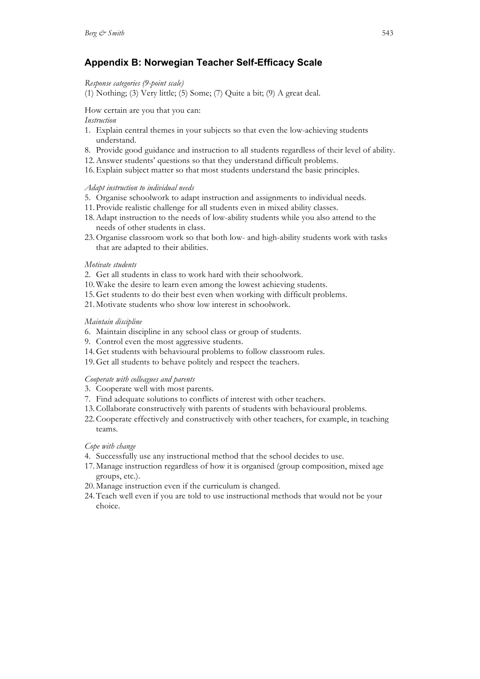# **Appendix B: Norwegian Teacher Self-Efficacy Scale**

*Response categories (9-point scale)*

(1) Nothing; (3) Very little; (5) Some; (7) Quite a bit; (9) A great deal.

How certain are you that you can:

#### *Instruction*

- 1. Explain central themes in your subjects so that even the low-achieving students understand.
- 8. Provide good guidance and instruction to all students regardless of their level of ability.
- 12.Answer students' questions so that they understand difficult problems.
- 16.Explain subject matter so that most students understand the basic principles.

#### *Adapt instruction to individual needs*

- 5. Organise schoolwork to adapt instruction and assignments to individual needs.
- 11. Provide realistic challenge for all students even in mixed ability classes.
- 18.Adapt instruction to the needs of low-ability students while you also attend to the needs of other students in class.
- 23.Organise classroom work so that both low- and high-ability students work with tasks that are adapted to their abilities.

#### *Motivate students*

- 2. Get all students in class to work hard with their schoolwork.
- 10.Wake the desire to learn even among the lowest achieving students.
- 15.Get students to do their best even when working with difficult problems.
- 21. Motivate students who show low interest in schoolwork.

#### *Maintain discipline*

- 6. Maintain discipline in any school class or group of students.
- 9. Control even the most aggressive students.
- 14.Get students with behavioural problems to follow classroom rules.
- 19.Get all students to behave politely and respect the teachers.

## *Cooperate with colleagues and parents*

- 3. Cooperate well with most parents.
- 7. Find adequate solutions to conflicts of interest with other teachers.
- 13.Collaborate constructively with parents of students with behavioural problems.
- 22.Cooperate effectively and constructively with other teachers, for example, in teaching teams.

## *Cope with change*

- 4. Successfully use any instructional method that the school decides to use.
- 17. Manage instruction regardless of how it is organised (group composition, mixed age groups, etc.).
- 20. Manage instruction even if the curriculum is changed.
- 24.Teach well even if you are told to use instructional methods that would not be your choice.